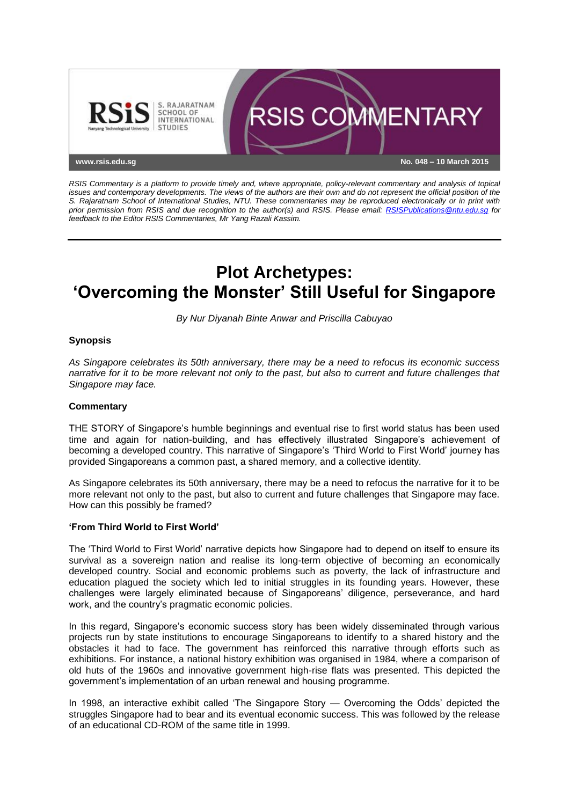

*RSIS Commentary is a platform to provide timely and, where appropriate, policy-relevant commentary and analysis of topical issues and contemporary developments. The views of the authors are their own and do not represent the official position of the S. Rajaratnam School of International Studies, NTU. These commentaries may be reproduced electronically or in print with prior permission from RSIS and due recognition to the author(s) and RSIS. Please email: [RSISPublications@ntu.edu.sg](mailto:RSISPublications@ntu.edu.sg) for feedback to the Editor RSIS Commentaries, Mr Yang Razali Kassim.*

# **Plot Archetypes: 'Overcoming the Monster' Still Useful for Singapore**

*By Nur Diyanah Binte Anwar and Priscilla Cabuyao*

## **Synopsis**

*As Singapore celebrates its 50th anniversary, there may be a need to refocus its economic success narrative for it to be more relevant not only to the past, but also to current and future challenges that Singapore may face.*

## **Commentary**

THE STORY of Singapore's humble beginnings and eventual rise to first world status has been used time and again for nation-building, and has effectively illustrated Singapore's achievement of becoming a developed country. This narrative of Singapore's 'Third World to First World' journey has provided Singaporeans a common past, a shared memory, and a collective identity.

As Singapore celebrates its 50th anniversary, there may be a need to refocus the narrative for it to be more relevant not only to the past, but also to current and future challenges that Singapore may face. How can this possibly be framed?

#### **'From Third World to First World'**

The 'Third World to First World' narrative depicts how Singapore had to depend on itself to ensure its survival as a sovereign nation and realise its long-term objective of becoming an economically developed country. Social and economic problems such as poverty, the lack of infrastructure and education plagued the society which led to initial struggles in its founding years. However, these challenges were largely eliminated because of Singaporeans' diligence, perseverance, and hard work, and the country's pragmatic economic policies.

In this regard, Singapore's economic success story has been widely disseminated through various projects run by state institutions to encourage Singaporeans to identify to a shared history and the obstacles it had to face. The government has reinforced this narrative through efforts such as exhibitions. For instance, a national history exhibition was organised in 1984, where a comparison of old huts of the 1960s and innovative government high-rise flats was presented. This depicted the government's implementation of an urban renewal and housing programme.

In 1998, an interactive exhibit called 'The Singapore Story — Overcoming the Odds' depicted the struggles Singapore had to bear and its eventual economic success. This was followed by the release of an educational CD-ROM of the same title in 1999.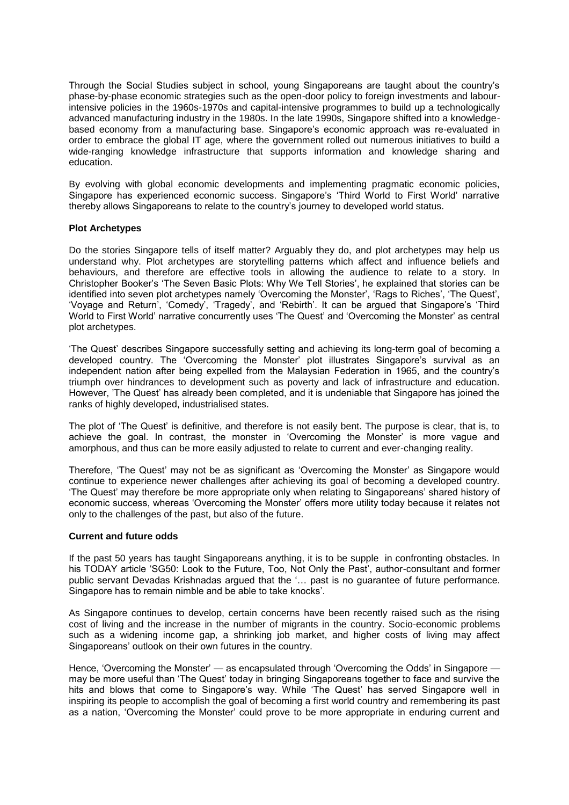Through the Social Studies subject in school, young Singaporeans are taught about the country's phase-by-phase economic strategies such as the open-door policy to foreign investments and labourintensive policies in the 1960s-1970s and capital-intensive programmes to build up a technologically advanced manufacturing industry in the 1980s. In the late 1990s, Singapore shifted into a knowledgebased economy from a manufacturing base. Singapore's economic approach was re-evaluated in order to embrace the global IT age, where the government rolled out numerous initiatives to build a wide-ranging knowledge infrastructure that supports information and knowledge sharing and education.

By evolving with global economic developments and implementing pragmatic economic policies, Singapore has experienced economic success. Singapore's 'Third World to First World' narrative thereby allows Singaporeans to relate to the country's journey to developed world status.

### **Plot Archetypes**

Do the stories Singapore tells of itself matter? Arguably they do, and plot archetypes may help us understand why. Plot archetypes are storytelling patterns which affect and influence beliefs and behaviours, and therefore are effective tools in allowing the audience to relate to a story. In Christopher Booker's 'The Seven Basic Plots: Why We Tell Stories', he explained that stories can be identified into seven plot archetypes namely 'Overcoming the Monster', 'Rags to Riches', 'The Quest', 'Voyage and Return', 'Comedy', 'Tragedy', and 'Rebirth'. It can be argued that Singapore's 'Third World to First World' narrative concurrently uses 'The Quest' and 'Overcoming the Monster' as central plot archetypes.

'The Quest' describes Singapore successfully setting and achieving its long-term goal of becoming a developed country. The 'Overcoming the Monster' plot illustrates Singapore's survival as an independent nation after being expelled from the Malaysian Federation in 1965, and the country's triumph over hindrances to development such as poverty and lack of infrastructure and education. However, 'The Quest' has already been completed, and it is undeniable that Singapore has joined the ranks of highly developed, industrialised states.

The plot of 'The Quest' is definitive, and therefore is not easily bent. The purpose is clear, that is, to achieve the goal. In contrast, the monster in 'Overcoming the Monster' is more vague and amorphous, and thus can be more easily adjusted to relate to current and ever-changing reality.

Therefore, 'The Quest' may not be as significant as 'Overcoming the Monster' as Singapore would continue to experience newer challenges after achieving its goal of becoming a developed country. 'The Quest' may therefore be more appropriate only when relating to Singaporeans' shared history of economic success, whereas 'Overcoming the Monster' offers more utility today because it relates not only to the challenges of the past, but also of the future.

#### **Current and future odds**

If the past 50 years has taught Singaporeans anything, it is to be supple in confronting obstacles. In his TODAY article 'SG50: Look to the Future, Too, Not Only the Past', author-consultant and former public servant Devadas Krishnadas argued that the '… past is no guarantee of future performance. Singapore has to remain nimble and be able to take knocks'.

As Singapore continues to develop, certain concerns have been recently raised such as the rising cost of living and the increase in the number of migrants in the country. Socio-economic problems such as a widening income gap, a shrinking job market, and higher costs of living may affect Singaporeans' outlook on their own futures in the country.

Hence, 'Overcoming the Monster' — as encapsulated through 'Overcoming the Odds' in Singapore may be more useful than 'The Quest' today in bringing Singaporeans together to face and survive the hits and blows that come to Singapore's way. While 'The Quest' has served Singapore well in inspiring its people to accomplish the goal of becoming a first world country and remembering its past as a nation, 'Overcoming the Monster' could prove to be more appropriate in enduring current and